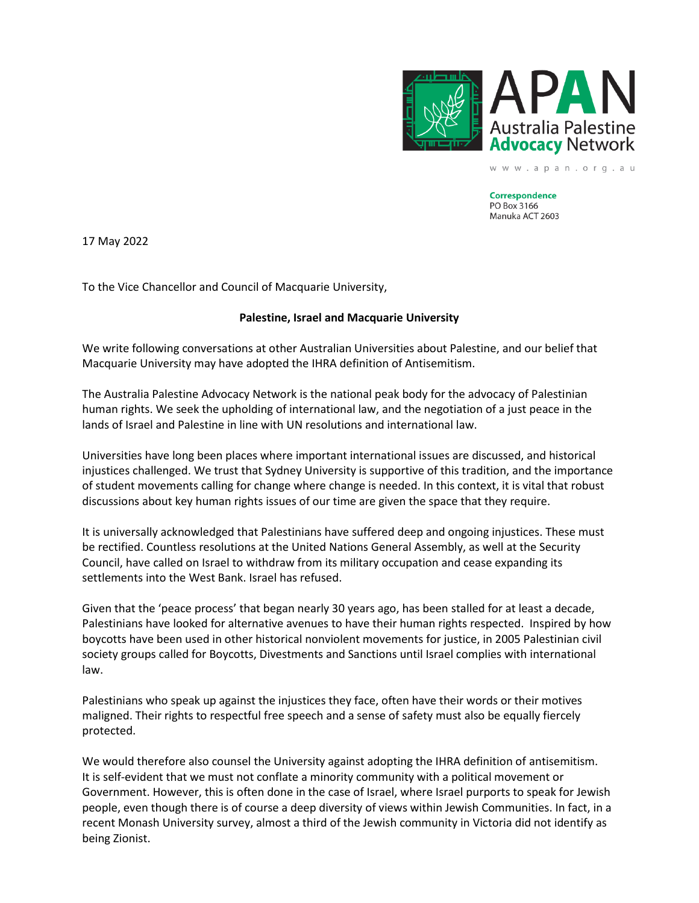

www.apan.org.au

**Correspondence** PO Box 3166 Manuka ACT 2603

17 May 2022

To the Vice Chancellor and Council of Macquarie University,

## **Palestine, Israel and Macquarie University**

We write following conversations at other Australian Universities about Palestine, and our belief that Macquarie University may have adopted the IHRA definition of Antisemitism.

The Australia Palestine Advocacy Network is the national peak body for the advocacy of Palestinian human rights. We seek the upholding of international law, and the negotiation of a just peace in the lands of Israel and Palestine in line with UN resolutions and international law.

Universities have long been places where important international issues are discussed, and historical injustices challenged. We trust that Sydney University is supportive of this tradition, and the importance of student movements calling for change where change is needed. In this context, it is vital that robust discussions about key human rights issues of our time are given the space that they require.

It is universally acknowledged that Palestinians have suffered deep and ongoing injustices. These must be rectified. Countless resolutions at the United Nations General Assembly, as well at the Security Council, have called on Israel to withdraw from its military occupation and cease expanding its settlements into the West Bank. Israel has refused.

Given that the 'peace process' that began nearly 30 years ago, has been stalled for at least a decade, Palestinians have looked for alternative avenues to have their human rights respected. Inspired by how boycotts have been used in other historical nonviolent movements for justice, in 2005 Palestinian civil society groups called for Boycotts, Divestments and Sanctions until Israel complies with international law.

Palestinians who speak up against the injustices they face, often have their words or their motives maligned. Their rights to respectful free speech and a sense of safety must also be equally fiercely protected.

We would therefore also counsel the University against adopting the IHRA definition of antisemitism. It is self-evident that we must not conflate a minority community with a political movement or Government. However, this is often done in the case of Israel, where Israel purports to speak for Jewish people, even though there is of course a deep diversity of views within Jewish Communities. In fact, in a recent Monash University survey, almost a third of the Jewish community in Victoria did not identify as being Zionist.